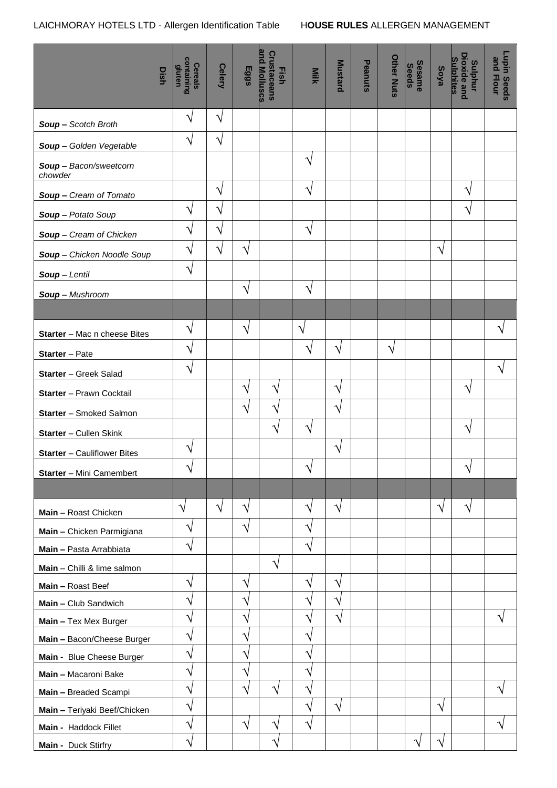|                                    | Dish | containing<br>gluten<br>Cereals | <b>Celery</b> | Eggs          | and Molluscs<br><b>Crustaceans</b><br>Fish | Milk                  | <b>Mustard</b> | Peanuts | <b>Other Nuts</b> | <b>Sesame</b><br><b>Seeds</b> | Soya      | <b>Dioxide and</b><br><b>Sulphites</b><br><b>Sulphur</b> | <b>Lupin Seeds</b><br>and Flour |
|------------------------------------|------|---------------------------------|---------------|---------------|--------------------------------------------|-----------------------|----------------|---------|-------------------|-------------------------------|-----------|----------------------------------------------------------|---------------------------------|
| Soup - Scotch Broth                |      | $\boldsymbol{\gamma}$           | $\sqrt{}$     |               |                                            |                       |                |         |                   |                               |           |                                                          |                                 |
| Soup - Golden Vegetable            |      | $\boldsymbol{\gamma}$           | $\sqrt{}$     |               |                                            |                       |                |         |                   |                               |           |                                                          |                                 |
| Soup - Bacon/sweetcorn<br>chowder  |      |                                 |               |               |                                            | $\sqrt{}$             |                |         |                   |                               |           |                                                          |                                 |
| Soup - Cream of Tomato             |      |                                 | V             |               |                                            | ٦                     |                |         |                   |                               |           | ٦                                                        |                                 |
| Soup - Potato Soup                 |      | V                               | $\sqrt{}$     |               |                                            |                       |                |         |                   |                               |           | V                                                        |                                 |
| Soup - Cream of Chicken            |      | V                               | V             |               |                                            | $\sqrt{}$             |                |         |                   |                               |           |                                                          |                                 |
| Soup - Chicken Noodle Soup         |      | $\mathbf{\hat{v}}$              | $\sqrt{}$     | $\sqrt{ }$    |                                            |                       |                |         |                   |                               | $\sqrt{}$ |                                                          |                                 |
| Soup-Lentil                        |      | $\boldsymbol{\gamma}$           |               |               |                                            |                       |                |         |                   |                               |           |                                                          |                                 |
| Soup - Mushroom                    |      |                                 |               | $\sqrt{ }$    |                                            | N                     |                |         |                   |                               |           |                                                          |                                 |
|                                    |      |                                 |               |               |                                            |                       |                |         |                   |                               |           |                                                          |                                 |
| Starter - Mac n cheese Bites       |      | V                               |               | $\sqrt{}$     |                                            | $\sqrt{}$             |                |         |                   |                               |           |                                                          | ٦                               |
| <b>Starter</b> - Pate              |      | V                               |               |               |                                            | N                     | V              |         | $\sqrt{}$         |                               |           |                                                          |                                 |
| Starter - Greek Salad              |      | N                               |               |               |                                            |                       |                |         |                   |                               |           |                                                          | ٦                               |
| Starter - Prawn Cocktail           |      |                                 |               | $\mathcal{N}$ | N                                          |                       | V              |         |                   |                               |           | V                                                        |                                 |
| Starter - Smoked Salmon            |      |                                 |               | $\sqrt{ }$    | V                                          |                       | V              |         |                   |                               |           |                                                          |                                 |
| Starter - Cullen Skink             |      |                                 |               |               | $\sqrt{}$                                  | $\sqrt{}$             |                |         |                   |                               |           | $\sqrt{}$                                                |                                 |
| <b>Starter</b> - Cauliflower Bites |      | ٦                               |               |               |                                            |                       | ٦              |         |                   |                               |           |                                                          |                                 |
| Starter - Mini Camembert           |      | $\mathcal{N}$                   |               |               |                                            | $\boldsymbol{\gamma}$ |                |         |                   |                               |           | $\sqrt{}$                                                |                                 |
|                                    |      |                                 |               |               |                                            |                       |                |         |                   |                               |           |                                                          |                                 |
| Main - Roast Chicken               |      | $\sqrt{}$                       | $\sqrt{}$     | $\sqrt{}$     |                                            | $\sqrt{}$             | V              |         |                   |                               | V         | $\sqrt{}$                                                |                                 |
| Main - Chicken Parmigiana          |      | V                               |               | $\sqrt{ }$    |                                            | N                     |                |         |                   |                               |           |                                                          |                                 |
| Main - Pasta Arrabbiata            |      | $\boldsymbol{\gamma}$           |               |               |                                            | ٦                     |                |         |                   |                               |           |                                                          |                                 |
| Main - Chilli & lime salmon        |      |                                 |               |               | $\sqrt{}$                                  |                       |                |         |                   |                               |           |                                                          |                                 |
| Main - Roast Beef                  |      | $\mathbf{\hat{v}}$              |               | $\mathcal{N}$ |                                            | N                     | V              |         |                   |                               |           |                                                          |                                 |
| Main - Club Sandwich               |      | ٦                               |               | ٦             |                                            | ٦                     |                |         |                   |                               |           |                                                          |                                 |
| Main - Tex Mex Burger              |      | V                               |               | V             |                                            | ٦                     | V              |         |                   |                               |           |                                                          | $\sqrt{}$                       |
| Main - Bacon/Cheese Burger         |      | V                               |               | $\gamma$      |                                            | ٦                     |                |         |                   |                               |           |                                                          |                                 |
| Main - Blue Cheese Burger          |      | N                               |               | $\gamma$      |                                            | V                     |                |         |                   |                               |           |                                                          |                                 |
| Main - Macaroni Bake               |      | N                               |               | V             |                                            | ٦                     |                |         |                   |                               |           |                                                          |                                 |
| Main - Breaded Scampi              |      | V                               |               | V             | V                                          | ٦                     |                |         |                   |                               |           |                                                          | ٦                               |
| Main - Teriyaki Beef/Chicken       |      | $\mathbf{\hat{v}}$              |               |               |                                            | ٦                     | V              |         |                   |                               | V         |                                                          |                                 |
| Main - Haddock Fillet              |      | V                               |               | N             | V                                          | ٦                     |                |         |                   |                               |           |                                                          | V                               |
| Main - Duck Stirfry                |      | $\mathbf{\hat{v}}$              |               |               | V                                          |                       |                |         |                   | ٦                             | V         |                                                          |                                 |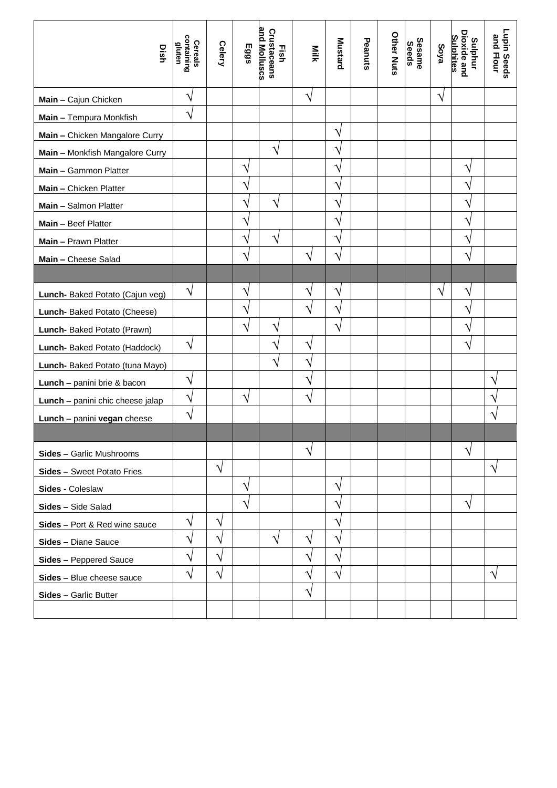| Dish                             | containing<br>Cereals<br>gluten | Celery    | Eggs      | and Molluscs<br>Crustaceans<br>Eish | Milk      | <b>Mustard</b>     | Peanuts | <b>Other Nuts</b> | Sesame<br>Seeds | Soya          | <b>Dioxide and</b><br><b>Sulphites</b><br>Sulphur | Lupin Seeds<br>and Flour |
|----------------------------------|---------------------------------|-----------|-----------|-------------------------------------|-----------|--------------------|---------|-------------------|-----------------|---------------|---------------------------------------------------|--------------------------|
| Main - Cajun Chicken             | V                               |           |           |                                     | $\sqrt{}$ |                    |         |                   |                 | $\sqrt{}$     |                                                   |                          |
| Main - Tempura Monkfish          | V                               |           |           |                                     |           |                    |         |                   |                 |               |                                                   |                          |
| Main - Chicken Mangalore Curry   |                                 |           |           |                                     |           | V                  |         |                   |                 |               |                                                   |                          |
| Main - Monkfish Mangalore Curry  |                                 |           |           |                                     |           |                    |         |                   |                 |               |                                                   |                          |
| Main - Gammon Platter            |                                 |           | $\sqrt{}$ |                                     |           |                    |         |                   |                 |               | V                                                 |                          |
| Main - Chicken Platter           |                                 |           | ٦         |                                     |           |                    |         |                   |                 |               | ٦                                                 |                          |
| Main - Salmon Platter            |                                 |           | ٦         | V                                   |           | V                  |         |                   |                 |               | ٦                                                 |                          |
| Main - Beef Platter              |                                 |           | V         |                                     |           | V                  |         |                   |                 |               | ٦                                                 |                          |
| Main - Prawn Platter             |                                 |           | V         | N                                   |           | ٦                  |         |                   |                 |               | ٦                                                 |                          |
| Main - Cheese Salad              |                                 |           | V         |                                     | N         | ٦                  |         |                   |                 |               | ٦                                                 |                          |
|                                  |                                 |           |           |                                     |           |                    |         |                   |                 |               |                                                   |                          |
| Lunch- Baked Potato (Cajun veg)  | $\sqrt{}$                       |           | $\sqrt{}$ |                                     | $\sqrt{}$ | ٦                  |         |                   |                 | $\mathcal{N}$ | V                                                 |                          |
| Lunch-Baked Potato (Cheese)      |                                 |           | V         |                                     | Ń         | V                  |         |                   |                 |               |                                                   |                          |
| Lunch- Baked Potato (Prawn)      |                                 |           | ٦         |                                     |           | $\mathbf{\hat{v}}$ |         |                   |                 |               |                                                   |                          |
| Lunch- Baked Potato (Haddock)    | $\sqrt{}$                       |           |           | J                                   | ٦         |                    |         |                   |                 |               | N                                                 |                          |
| Lunch- Baked Potato (tuna Mayo)  |                                 |           |           | N                                   | Î         |                    |         |                   |                 |               |                                                   |                          |
| Lunch - panini brie & bacon      | V                               |           |           |                                     | Ń         |                    |         |                   |                 |               |                                                   |                          |
| Lunch - panini chic cheese jalap | V                               |           | $\sqrt{}$ |                                     | N         |                    |         |                   |                 |               |                                                   |                          |
| Lunch - panini vegan cheese      | $\sqrt{}$                       |           |           |                                     |           |                    |         |                   |                 |               |                                                   | ٦                        |
|                                  |                                 |           |           |                                     |           |                    |         |                   |                 |               |                                                   |                          |
| Sides - Garlic Mushrooms         |                                 |           |           |                                     | $\sqrt{}$ |                    |         |                   |                 |               | $\mathcal{N}$                                     |                          |
| Sides - Sweet Potato Fries       |                                 | $\sqrt{}$ |           |                                     |           |                    |         |                   |                 |               |                                                   | $\sqrt{}$                |
| Sides - Coleslaw                 |                                 |           | $\sqrt{}$ |                                     |           | V                  |         |                   |                 |               |                                                   |                          |
| Sides - Side Salad               |                                 |           | ٦         |                                     |           |                    |         |                   |                 |               |                                                   |                          |
| Sides - Port & Red wine sauce    | $\sqrt{}$                       | V         |           |                                     |           |                    |         |                   |                 |               |                                                   |                          |
| Sides - Diane Sauce              | V                               | ٦         |           | $\sqrt{}$                           | V         |                    |         |                   |                 |               |                                                   |                          |
| Sides - Peppered Sauce           | V                               | ٦         |           |                                     | V         | V                  |         |                   |                 |               |                                                   |                          |
| Sides - Blue cheese sauce        | V                               | ٦         |           |                                     | ٦         |                    |         |                   |                 |               |                                                   | V                        |
| Sides - Garlic Butter            |                                 |           |           |                                     | ٦         |                    |         |                   |                 |               |                                                   |                          |
|                                  |                                 |           |           |                                     |           |                    |         |                   |                 |               |                                                   |                          |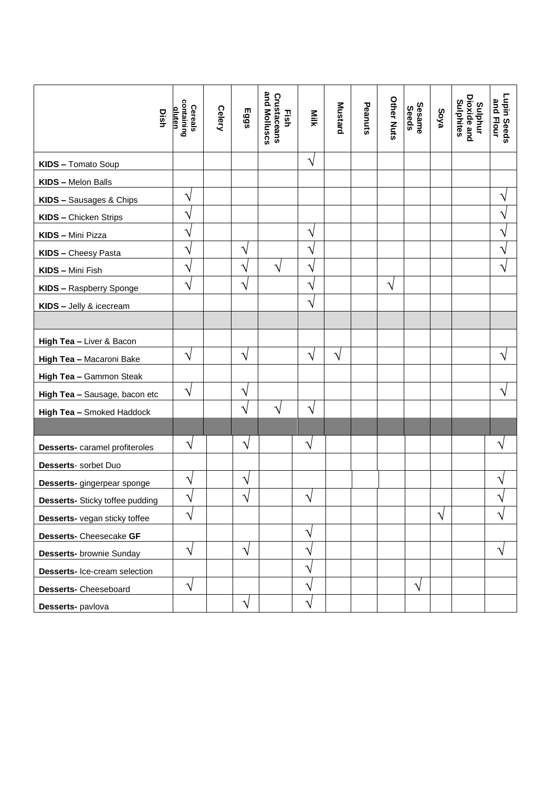| Dish                                   | containing<br>Cereals<br>dluten | Celery | Eggs          | and Molluscs<br>Crustaceans<br>Eish | Milk      | <b>Mustard</b> | Peanuts | <b>Other Nuts</b> | Sesame<br>Seeds | Soya      | Dioxide and<br>Sulphites<br>Sulphur | Lupin Seeds<br>and Flour |
|----------------------------------------|---------------------------------|--------|---------------|-------------------------------------|-----------|----------------|---------|-------------------|-----------------|-----------|-------------------------------------|--------------------------|
| KIDS - Tomato Soup                     |                                 |        |               |                                     | $\sqrt{}$ |                |         |                   |                 |           |                                     |                          |
| KIDS - Melon Balls                     |                                 |        |               |                                     |           |                |         |                   |                 |           |                                     |                          |
| KIDS - Sausages & Chips                | $\sqrt{}$                       |        |               |                                     |           |                |         |                   |                 |           |                                     | V                        |
| <b>KIDS - Chicken Strips</b>           | V                               |        |               |                                     |           |                |         |                   |                 |           |                                     | ٦                        |
| KIDS - Mini Pizza                      | V                               |        |               |                                     | $\sqrt{}$ |                |         |                   |                 |           |                                     | V                        |
| <b>KIDS - Cheesy Pasta</b>             | V                               |        | V             |                                     | V         |                |         |                   |                 |           |                                     | V                        |
| KIDS - Mini Fish                       | $\mathcal{N}$                   |        | $\mathcal{N}$ | ٦                                   | N         |                |         |                   |                 |           |                                     | N                        |
| KIDS - Raspberry Sponge                | $\sqrt{}$                       |        | $\sqrt{}$     |                                     | N         |                |         | N                 |                 |           |                                     |                          |
| KIDS - Jelly & icecream                |                                 |        |               |                                     | $\sqrt{}$ |                |         |                   |                 |           |                                     |                          |
|                                        |                                 |        |               |                                     |           |                |         |                   |                 |           |                                     |                          |
| High Tea - Liver & Bacon               |                                 |        |               |                                     |           |                |         |                   |                 |           |                                     |                          |
| High Tea - Macaroni Bake               | $\sqrt{}$                       |        | $\sqrt{}$     |                                     | $\gamma$  | $\gamma$       |         |                   |                 |           |                                     | ٦                        |
| High Tea - Gammon Steak                |                                 |        |               |                                     |           |                |         |                   |                 |           |                                     |                          |
| High Tea - Sausage, bacon etc          | $\sqrt{}$                       |        | $\sqrt{}$     |                                     |           |                |         |                   |                 |           |                                     | N                        |
| High Tea - Smoked Haddock              |                                 |        | $\mathcal{N}$ | <sup>1</sup>                        | $\sqrt{}$ |                |         |                   |                 |           |                                     |                          |
|                                        |                                 |        |               |                                     |           |                |         |                   |                 |           |                                     |                          |
| Desserts- caramel profiteroles         | $\sqrt{}$                       |        | $\sqrt{}$     |                                     | $\sqrt{}$ |                |         |                   |                 |           |                                     | ٦                        |
| Desserts- sorbet Duo                   |                                 |        |               |                                     |           |                |         |                   |                 |           |                                     |                          |
| Desserts- gingerpear sponge            | V                               |        | $\sqrt{}$     |                                     |           |                |         |                   |                 |           |                                     |                          |
| <b>Desserts-</b> Sticky toffee pudding | V                               |        | V             |                                     | V         |                |         |                   |                 |           |                                     |                          |
| Desserts- vegan sticky toffee          | $\sqrt{}$                       |        |               |                                     |           |                |         |                   |                 | $\sqrt{}$ |                                     | ٦                        |
| Desserts- Cheesecake GF                |                                 |        |               |                                     | V         |                |         |                   |                 |           |                                     |                          |
| <b>Desserts-</b> brownie Sunday        | $\sqrt{}$                       |        | $\sqrt{}$     |                                     | ٦         |                |         |                   |                 |           |                                     | V                        |
| Desserts- Ice-cream selection          |                                 |        |               |                                     | V         |                |         |                   |                 |           |                                     |                          |
| Desserts- Cheeseboard                  | $\sqrt{}$                       |        |               |                                     | ٦         |                |         |                   | $\sqrt{}$       |           |                                     |                          |
| Desserts- pavlova                      |                                 |        | $\sqrt{}$     |                                     | ٦         |                |         |                   |                 |           |                                     |                          |